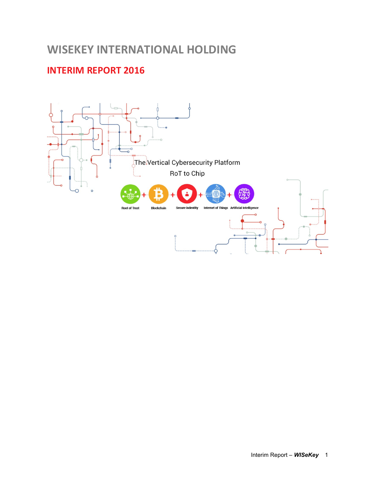# **WISEKEY INTERNATIONAL HOLDING**

# **INTERIM REPORT 2016**

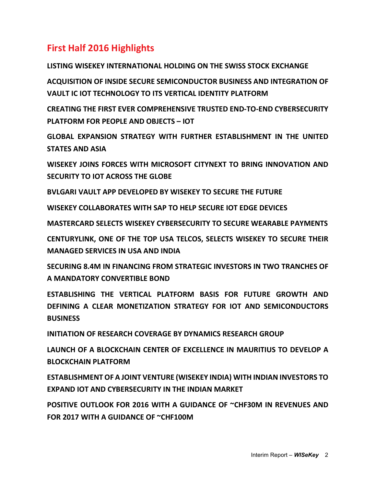# **First Half 2016 Highlights**

**LISTING WISEKEY INTERNATIONAL HOLDING ON THE SWISS STOCK EXCHANGE ACQUISITION OF INSIDE SECURE SEMICONDUCTOR BUSINESS AND INTEGRATION OF VAULT IC IOT TECHNOLOGY TO ITS VERTICAL IDENTITY PLATFORM** 

**CREATING THE FIRST EVER COMPREHENSIVE TRUSTED END-TO-END CYBERSECURITY PLATFORM FOR PEOPLE AND OBJECTS – IOT** 

**GLOBAL EXPANSION STRATEGY WITH FURTHER ESTABLISHMENT IN THE UNITED STATES AND ASIA** 

**WISEKEY JOINS FORCES WITH MICROSOFT CITYNEXT TO BRING INNOVATION AND SECURITY TO IOT ACROSS THE GLOBE** 

**BVLGARI VAULT APP DEVELOPED BY WISEKEY TO SECURE THE FUTURE** 

**WISEKEY COLLABORATES WITH SAP TO HELP SECURE IOT EDGE DEVICES** 

**MASTERCARD SELECTS WISEKEY CYBERSECURITY TO SECURE WEARABLE PAYMENTS** 

**CENTURYLINK, ONE OF THE TOP USA TELCOS, SELECTS WISEKEY TO SECURE THEIR MANAGED SERVICES IN USA AND INDIA** 

**SECURING 8.4M IN FINANCING FROM STRATEGIC INVESTORS IN TWO TRANCHES OF A MANDATORY CONVERTIBLE BOND** 

**ESTABLISHING THE VERTICAL PLATFORM BASIS FOR FUTURE GROWTH AND DEFINING A CLEAR MONETIZATION STRATEGY FOR IOT AND SEMICONDUCTORS BUSINESS** 

**INITIATION OF RESEARCH COVERAGE BY DYNAMICS RESEARCH GROUP** 

**LAUNCH OF A BLOCKCHAIN CENTER OF EXCELLENCE IN MAURITIUS TO DEVELOP A BLOCKCHAIN PLATFORM** 

**ESTABLISHMENT OF A JOINT VENTURE (WISEKEY INDIA) WITH INDIAN INVESTORS TO EXPAND IOT AND CYBERSECURITY IN THE INDIAN MARKET** 

**POSITIVE OUTLOOK FOR 2016 WITH A GUIDANCE OF ~CHF30M IN REVENUES AND FOR 2017 WITH A GUIDANCE OF ~CHF100M**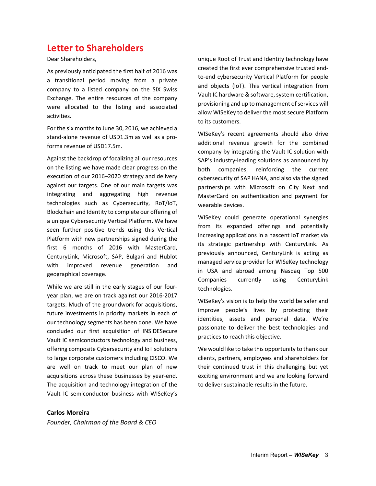## **Letter to Shareholders**

Dear Shareholders,

As previously anticipated the first half of 2016 was a transitional period moving from a private company to a listed company on the SIX Swiss Exchange. The entire resources of the company were allocated to the listing and associated activities.

For the six months to June 30, 2016, we achieved a stand-alone revenue of USD1.3m as well as a proforma revenue of USD17.5m.

Against the backdrop of focalizing all our resources on the listing we have made clear progress on the execution of our 2016–2020 strategy and delivery against our targets. One of our main targets was integrating and aggregating high revenue technologies such as Cybersecurity, RoT/IoT, Blockchain and Identity to complete our offering of a unique Cybersecurity Vertical Platform. We have seen further positive trends using this Vertical Platform with new partnerships signed during the first 6 months of 2016 with MasterCard, CenturyLink, Microsoft, SAP, Bulgari and Hublot with improved revenue generation and geographical coverage.

While we are still in the early stages of our fouryear plan, we are on track against our 2016-2017 targets. Much of the groundwork for acquisitions, future investments in priority markets in each of our technology segments has been done. We have concluded our first acquisition of INSIDESecure Vault IC semiconductors technology and business, offering composite Cybersecurity and IoT solutions to large corporate customers including CISCO. We are well on track to meet our plan of new acquisitions across these businesses by year-end. The acquisition and technology integration of the Vault IC semiconductor business with WISeKey's

unique Root of Trust and Identity technology have created the first ever comprehensive trusted endto-end cybersecurity Vertical Platform for people and objects (IoT). This vertical integration from Vault IC hardware & software, system certification, provisioning and up to management of services will allow WISeKey to deliver the most secure Platform to its customers.

WISeKey's recent agreements should also drive additional revenue growth for the combined company by integrating the Vault IC solution with SAP's industry-leading solutions as announced by both companies, reinforcing the current cybersecurity of SAP HANA, and also via the signed partnerships with Microsoft on City Next and MasterCard on authentication and payment for wearable devices.

WISeKey could generate operational synergies from its expanded offerings and potentially increasing applications in a nascent IoT market via its strategic partnership with CenturyLink. As previously announced, CenturyLink is acting as managed service provider for WISeKey technology in USA and abroad among Nasdaq Top 500 Companies currently using CenturyLink technologies.

WISeKey's vision is to help the world be safer and improve people's lives by protecting their identities, assets and personal data. We're passionate to deliver the best technologies and practices to reach this objective.

We would like to take this opportunity to thank our clients, partners, employees and shareholders for their continued trust in this challenging but yet exciting environment and we are looking forward to deliver sustainable results in the future.

**Carlos Moreira**  *Founder, Chairman of the Board & CEO*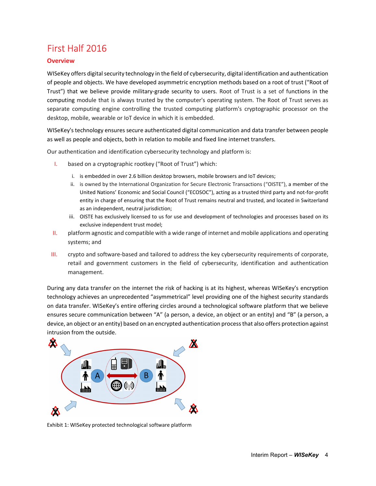# First Half 2016

### **Overview**

WISeKey offers digital security technology in the field of cybersecurity, digital identification and authentication of people and objects. We have developed asymmetric encryption methods based on a root of trust ("Root of Trust") that we believe provide military-grade security to users. Root of Trust is a set of functions in the computing module that is always trusted by the computer's operating system. The Root of Trust serves as separate computing engine controlling the trusted computing platform's cryptographic processor on the desktop, mobile, wearable or IoT device in which it is embedded.

WISeKey's technology ensures secure authenticated digital communication and data transfer between people as well as people and objects, both in relation to mobile and fixed line internet transfers.

Our authentication and identification cybersecurity technology and platform is:

- I. based on a cryptographic rootkey ("Root of Trust") which:
	- i. is embedded in over 2.6 billion desktop browsers, mobile browsers and IoT devices;
	- ii. is owned by the International Organization for Secure Electronic Transactions ("OISTE"), a member of the United Nations' Economic and Social Council ("ECOSOC"), acting as a trusted third party and not-for-profit entity in charge of ensuring that the Root of Trust remains neutral and trusted, and located in Switzerland as an independent, neutral jurisdiction;
	- iii. OISTE has exclusively licensed to us for use and development of technologies and processes based on its exclusive independent trust model;
- II. platform agnostic and compatible with a wide range of internet and mobile applications and operating systems; and
- III. crypto and software-based and tailored to address the key cybersecurity requirements of corporate, retail and government customers in the field of cybersecurity, identification and authentication management.

During any data transfer on the internet the risk of hacking is at its highest, whereas WISeKey's encryption technology achieves an unprecedented "asymmetrical" level providing one of the highest security standards on data transfer. WISeKey's entire offering circles around a technological software platform that we believe ensures secure communication between "A" (a person, a device, an object or an entity) and "B" (a person, a device, an object or an entity) based on an encrypted authentication process that also offers protection against intrusion from the outside.



Exhibit 1: WISeKey protected technological software platform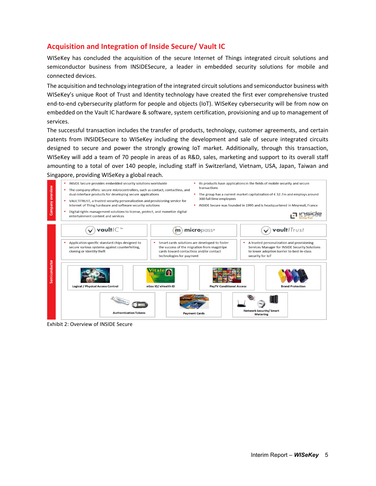## **Acquisition and Integration of Inside Secure/ Vault IC**

WISeKey has concluded the acquisition of the secure Internet of Things integrated circuit solutions and semiconductor business from INSIDESecure, a leader in embedded security solutions for mobile and connected devices.

The acquisition and technology integration of the integrated circuit solutions and semiconductor business with WISeKey's unique Root of Trust and Identity technology have created the first ever comprehensive trusted end-to-end cybersecurity platform for people and objects (IoT). WISeKey cybersecurity will be from now on embedded on the Vault IC hardware & software, system certification, provisioning and up to management of services.

The successful transaction includes the transfer of products, technology, customer agreements, and certain patents from INSIDESecure to WISeKey including the development and sale of secure integrated circuits designed to secure and power the strongly growing IoT market. Additionally, through this transaction, WISeKey will add a team of 70 people in areas of as R&D, sales, marketing and support to its overall staff amounting to a total of over 140 people, including staff in Switzerland, Vietnam, USA, Japan, Taiwan and Singapore, providing WISeKey a global reach.



Exhibit 2: Overview of INSIDE Secure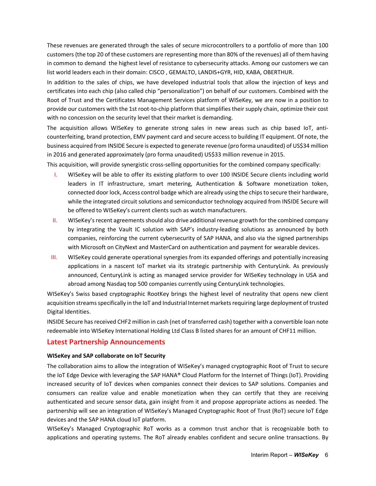These revenues are generated through the sales of secure microcontrollers to a portfolio of more than 100 customers (the top 20 of these customers are representing more than 80% of the revenues) all of them having in common to demand the highest level of resistance to cybersecurity attacks. Among our customers we can list world leaders each in their domain: CISCO , GEMALTO, LANDIS+GYR, HID, KABA, OBERTHUR.

In addition to the sales of chips, we have developed industrial tools that allow the injection of keys and certificates into each chip (also called chip "personalization") on behalf of our customers. Combined with the Root of Trust and the Certificates Management Services platform of WISeKey, we are now in a position to provide our customers with the 1st root-to-chip platform that simplifies their supply chain, optimize their cost with no concession on the security level that their market is demanding.

The acquisition allows WISeKey to generate strong sales in new areas such as chip based IoT, anticounterfeiting, brand protection, EMV payment card and secure access to building IT equipment. Of note, the business acquired from INSIDE Secure is expected to generate revenue (pro forma unaudited) of US\$34 million in 2016 and generated approximately (pro forma unaudited) US\$33 million revenue in 2015.

This acquisition, will provide synergistic cross-selling opportunities for the combined company specifically:

- I. WISeKey will be able to offer its existing platform to over 100 INSIDE Secure clients including world leaders in IT infrastructure, smart metering, Authentication & Software monetization token, connected door lock, Access control badge which are already using the chips to secure their hardware, while the integrated circuit solutions and semiconductor technology acquired from INSIDE Secure will be offered to WISeKey's current clients such as watch manufacturers.
- II. WISeKey's recent agreements should also drive additional revenue growth for the combined company by integrating the Vault IC solution with SAP's industry-leading solutions as announced by both companies, reinforcing the current cybersecurity of SAP HANA, and also via the signed partnerships with Microsoft on CityNext and MasterCard on authentication and payment for wearable devices.
- III. WISeKey could generate operational synergies from its expanded offerings and potentially increasing applications in a nascent IoT market via its strategic partnership with CenturyLink. As previously announced, CenturyLink is acting as managed service provider for WISeKey technology in USA and abroad among Nasdaq top 500 companies currently using CenturyLink technologies.

WISeKey's Swiss based cryptographic RootKey brings the highest level of neutrality that opens new client acquisition streams specifically in the IoT and Industrial Internet markets requiring large deployment of trusted Digital Identities.

INSIDE Secure has received CHF2 million in cash (net of transferred cash) together with a convertible loan note redeemable into WISeKey International Holding Ltd Class B listed shares for an amount of CHF11 million.

## **Latest Partnership Announcements**

#### **WISeKey and SAP collaborate on IoT Security**

The collaboration aims to allow the integration of WISeKey's managed cryptographic Root of Trust to secure the IoT Edge Device with leveraging the SAP HANA® Cloud Platform for the Internet of Things (IoT). Providing increased security of IoT devices when companies connect their devices to SAP solutions. Companies and consumers can realize value and enable monetization when they can certify that they are receiving authenticated and secure sensor data, gain insight from it and propose appropriate actions as needed. The partnership will see an integration of WISeKey's Managed Cryptographic Root of Trust (RoT) secure IoT Edge devices and the SAP HANA cloud IoT platform.

WISeKey's Managed Cryptographic RoT works as a common trust anchor that is recognizable both to applications and operating systems. The RoT already enables confident and secure online transactions. By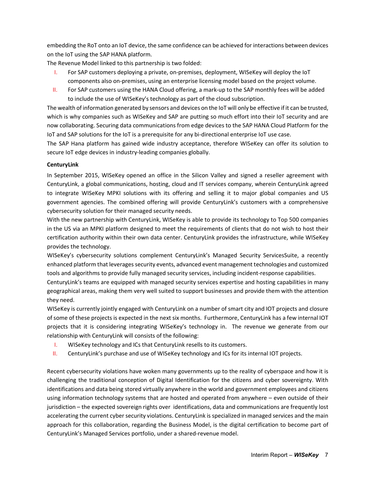embedding the RoT onto an IoT device, the same confidence can be achieved for interactions between devices on the IoT using the SAP HANA platform.

The Revenue Model linked to this partnership is two folded:

- I. For SAP customers deploying a private, on-premises, deployment, WISeKey will deploy the IoT components also on-premises, using an enterprise licensing model based on the project volume.
- II. For SAP customers using the HANA Cloud offering, a mark-up to the SAP monthly fees will be added to include the use of WISeKey's technology as part of the cloud subscription.

The wealth of information generated by sensors and devices on the IoT will only be effective if it can be trusted, which is why companies such as WISeKey and SAP are putting so much effort into their IoT security and are now collaborating. Securing data communications from edge devices to the SAP HANA Cloud Platform for the IoT and SAP solutions for the IoT is a prerequisite for any bi-directional enterprise IoT use case.

The SAP Hana platform has gained wide industry acceptance, therefore WISeKey can offer its solution to secure IoT edge devices in industry-leading companies globally.

### **CenturyLink**

In September 2015, WISeKey opened an office in the Silicon Valley and signed a reseller agreement with CenturyLink, a global communications, hosting, cloud and IT services company, wherein CenturyLink agreed to integrate WISeKey MPKI solutions with its offering and selling it to major global companies and US government agencies. The combined offering will provide CenturyLink's customers with a comprehensive cybersecurity solution for their managed security needs.

With the new partnership with CenturyLink, WISeKey is able to provide its technology to Top 500 companies in the US via an MPKI platform designed to meet the requirements of clients that do not wish to host their certification authority within their own data center. CenturyLink provides the infrastructure, while WISeKey provides the technology.

WISeKey's cybersecurity solutions complement CenturyLink's Managed Security ServicesSuite, a recently enhanced platform that leverages security events, advanced event management technologies and customized tools and algorithms to provide fully managed security services, including incident-response capabilities.

CenturyLink's teams are equipped with managed security services expertise and hosting capabilities in many geographical areas, making them very well suited to support businesses and provide them with the attention they need.

WISeKey is currently jointly engaged with CenturyLink on a number of smart city and IOT projects and closure of some of these projects is expected in the next six months. Furthermore, CenturyLink has a few internal IOT projects that it is considering integrating WISeKey's technology in. The revenue we generate from our relationship with CenturyLink will consists of the following:

- I. WISeKey technology and ICs that CenturyLink resells to its customers.
- II. CenturyLink's purchase and use of WISeKey technology and ICs for its internal IOT projects.

Recent cybersecurity violations have woken many governments up to the reality of cyberspace and how it is challenging the traditional conception of Digital Identification for the citizens and cyber sovereignty. With identifications and data being stored virtually anywhere in the world and government employees and citizens using information technology systems that are hosted and operated from anywhere – even outside of their jurisdiction – the expected sovereign rights over identifications, data and communications are frequently lost accelerating the current cyber security violations. CenturyLink is specialized in managed services and the main approach for this collaboration, regarding the Business Model, is the digital certification to become part of CenturyLink's Managed Services portfolio, under a shared-revenue model.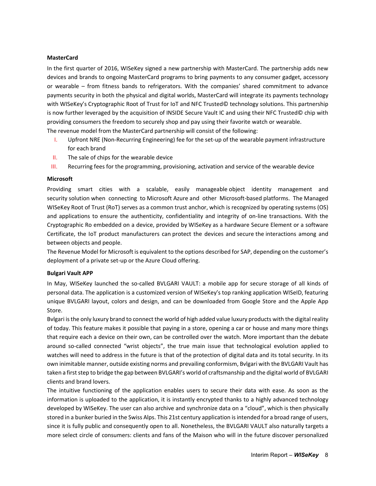#### **MasterCard**

In the first quarter of 2016, WISeKey signed a new partnership with MasterCard. The partnership adds new devices and brands to ongoing MasterCard programs to bring payments to any consumer gadget, accessory or wearable – from fitness bands to refrigerators. With the companies' shared commitment to advance payments security in both the physical and digital worlds, MasterCard will integrate its payments technology with WISeKey's Cryptographic Root of Trust for IoT and NFC Trusted© technology solutions. This partnership is now further leveraged by the acquisition of INSIDE Secure Vault IC and using their NFC Trusted© chip with providing consumers the freedom to securely shop and pay using their favorite watch or wearable.

The revenue model from the MasterCard partnership will consist of the following:

- I. Upfront NRE (Non-Recurring Engineering) fee for the set-up of the wearable payment infrastructure for each brand
- II. The sale of chips for the wearable device
- III. Recurring fees for the programming, provisioning, activation and service of the wearable device

#### **Microsoft**

Providing smart cities with a scalable, easily manageable object identity management and security solution when connecting to Microsoft Azure and other Microsoft-based platforms. The Managed WISeKey Root of Trust (RoT) serves as a common trust anchor, which is recognized by operating systems (OS) and applications to ensure the authenticity, confidentiality and integrity of on-line transactions. With the Cryptographic Ro embedded on a device, provided by WISeKey as a hardware Secure Element or a software Certificate, the IoT product manufacturers can protect the devices and secure the interactions among and between objects and people.

The Revenue Model for Microsoft is equivalent to the options described for SAP, depending on the customer's deployment of a private set-up or the Azure Cloud offering.

#### **Bulgari Vault APP**

In May, WISeKey launched the so-called BVLGARI VAULT: a mobile app for secure storage of all kinds of personal data. The application is a customized version of WISeKey's top ranking application WISeID, featuring unique BVLGARI layout, colors and design, and can be downloaded from Google Store and the Apple App Store.

Bvlgari is the only luxury brand to connect the world of high added value luxury products with the digital reality of today. This feature makes it possible that paying in a store, opening a car or house and many more things that require each a device on their own, can be controlled over the watch. More important than the debate around so-called connected "wrist objects", the true main issue that technological evolution applied to watches will need to address in the future is that of the protection of digital data and its total security. In its own inimitable manner, outside existing norms and prevailing conformism, Bvlgari with the BVLGARI Vault has taken a first step to bridge the gap between BVLGARI's world of craftsmanship and the digital world of BVLGARI clients and brand lovers.

The intuitive functioning of the application enables users to secure their data with ease. As soon as the information is uploaded to the application, it is instantly encrypted thanks to a highly advanced technology developed by WISeKey. The user can also archive and synchronize data on a "cloud", which is then physically stored in a bunker buried in the Swiss Alps. This 21st century application is intended for a broad range of users, since it is fully public and consequently open to all. Nonetheless, the BVLGARI VAULT also naturally targets a more select circle of consumers: clients and fans of the Maison who will in the future discover personalized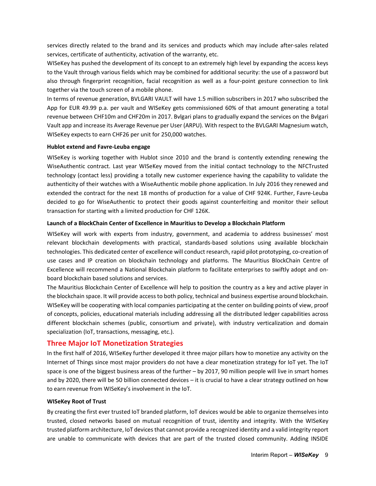services directly related to the brand and its services and products which may include after-sales related services, certificate of authenticity, activation of the warranty, etc.

WISeKey has pushed the development of its concept to an extremely high level by expanding the access keys to the Vault through various fields which may be combined for additional security: the use of a password but also through fingerprint recognition, facial recognition as well as a four-point gesture connection to link together via the touch screen of a mobile phone.

In terms of revenue generation, BVLGARI VAULT will have 1.5 million subscribers in 2017 who subscribed the App for EUR 49.99 p.a. per vault and WISeKey gets commissioned 60% of that amount generating a total revenue between CHF10m and CHF20m in 2017. Bvlgari plans to gradually expand the services on the Bvlgari Vault app and increase its Average Revenue per User (ARPU). With respect to the BVLGARI Magnesium watch, WISeKey expects to earn CHF26 per unit for 250,000 watches.

#### **Hublot extend and Favre-Leuba engage**

WISeKey is working together with Hublot since 2010 and the brand is contently extending renewing the WiseAuthentic contract. Last year WISeKey moved from the initial contact technology to the NFCTrusted technology (contact less) providing a totally new customer experience having the capability to validate the authenticity of their watches with a WiseAuthentic mobile phone application. In July 2016 they renewed and extended the contract for the next 18 months of production for a value of CHF 924K. Further, Favre-Leuba decided to go for WiseAuthentic to protect their goods against counterfeiting and monitor their sellout transaction for starting with a limited production for CHF 126K.

#### **Launch of a BlockChain Center of Excellence in Mauritius to Develop a Blockchain Platform**

WISeKey will work with experts from industry, government, and academia to address businesses' most relevant blockchain developments with practical, standards-based solutions using available blockchain technologies. This dedicated center of excellence will conduct research, rapid pilot prototyping, co-creation of use cases and IP creation on blockchain technology and platforms. The Mauritius BlockChain Centre of Excellence will recommend a National Blockchain platform to facilitate enterprises to swiftly adopt and onboard blockchain based solutions and services.

The Mauritius Blockchain Center of Excellence will help to position the country as a key and active player in the blockchain space. It will provide access to both policy, technical and business expertise around blockchain. WISeKey will be cooperating with local companies participating at the center on building points of view, proof of concepts, policies, educational materials including addressing all the distributed ledger capabilities across different blockchain schemes (public, consortium and private), with industry verticalization and domain specialization (IoT, transactions, messaging, etc.).

### **Three Major IoT Monetization Strategies**

In the first half of 2016, WISeKey further developed it three major pillars how to monetize any activity on the Internet of Things since most major providers do not have a clear monetization strategy for IoT yet. The IoT space is one of the biggest business areas of the further – by 2017, 90 million people will live in smart homes and by 2020, there will be 50 billion connected devices – it is crucial to have a clear strategy outlined on how to earn revenue from WISeKey's involvement in the IoT.

#### **WISeKey Root of Trust**

By creating the first ever trusted IoT branded platform, IoT devices would be able to organize themselves into trusted, closed networks based on mutual recognition of trust, identity and integrity. With the WISeKey trusted platform architecture, IoT devices that cannot provide a recognized identity and a valid integrity report are unable to communicate with devices that are part of the trusted closed community. Adding INSIDE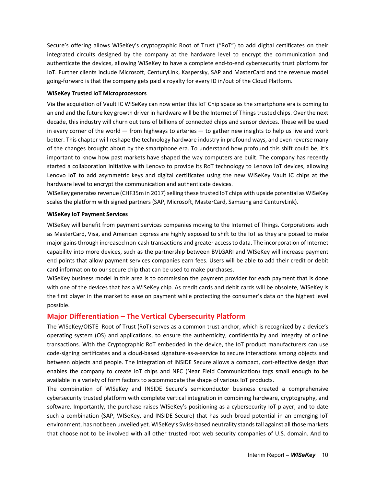Secure's offering allows WISeKey's cryptographic Root of Trust ("RoT") to add digital certificates on their integrated circuits designed by the company at the hardware level to encrypt the communication and authenticate the devices, allowing WISeKey to have a complete end-to-end cybersecurity trust platform for IoT. Further clients include Microsoft, CenturyLink, Kaspersky, SAP and MasterCard and the revenue model going-forward is that the company gets paid a royalty for every ID in/out of the Cloud Platform.

#### **WISeKey Trusted IoT Microprocessors**

Via the acquisition of Vault IC WISeKey can now enter this IoT Chip space as the smartphone era is coming to an end and the future key growth driver in hardware will be the Internet of Things trusted chips. Over the next decade, this industry will churn out tens of billions of connected chips and sensor devices. These will be used in every corner of the world — from highways to arteries — to gather new insights to help us live and work better. This chapter will reshape the technology hardware industry in profound ways, and even reverse many of the changes brought about by the smartphone era. To understand how profound this shift could be, it's important to know how past markets have shaped the way computers are built. The company has recently started a collaboration initiative with Lenovo to provide its RoT technology to Lenovo IoT devices, allowing Lenovo IoT to add asymmetric keys and digital certificates using the new WISeKey Vault IC chips at the hardware level to encrypt the communication and authenticate devices.

WISeKey generates revenue (CHF35m in 2017) selling these trusted IoT chips with upside potential as WISeKey scales the platform with signed partners (SAP, Microsoft, MasterCard, Samsung and CenturyLink).

#### **WISeKey IoT Payment Services**

WISeKey will benefit from payment services companies moving to the Internet of Things. Corporations such as MasterCard, Visa, and American Express are highly exposed to shift to the IoT as they are poised to make major gains through increased non-cash transactions and greater access to data. The incorporation of Internet capability into more devices, such as the partnership between BVLGARI and WISeKey will increase payment end points that allow payment services companies earn fees. Users will be able to add their credit or debit card information to our secure chip that can be used to make purchases.

WISeKey business model in this area is to commission the payment provider for each payment that is done with one of the devices that has a WISeKey chip. As credit cards and debit cards will be obsolete, WISeKey is the first player in the market to ease on payment while protecting the consumer's data on the highest level possible.

## **Major Differentiation – The Vertical Cybersecurity Platform**

The WISeKey/OISTE Root of Trust (RoT) serves as a common trust anchor, which is recognized by a device's operating system (OS) and applications, to ensure the authenticity, confidentiality and integrity of online transactions. With the Cryptographic RoT embedded in the device, the IoT product manufacturers can use code-signing certificates and a cloud-based signature-as-a-service to secure interactions among objects and between objects and people. The integration of INSIDE Secure allows a compact, cost-effective design that enables the company to create IoT chips and NFC (Near Field Communication) tags small enough to be available in a variety of form factors to accommodate the shape of various IoT products.

The combination of WISeKey and INSIDE Secure's semiconductor business created a comprehensive cybersecurity trusted platform with complete vertical integration in combining hardware, cryptography, and software. Importantly, the purchase raises WISeKey's positioning as a cybersecurity IoT player, and to date such a combination (SAP, WISeKey, and INSIDE Secure) that has such broad potential in an emerging IoT environment, has not been unveiled yet. WISeKey's Swiss-based neutrality stands tall against all those markets that choose not to be involved with all other trusted root web security companies of U.S. domain. And to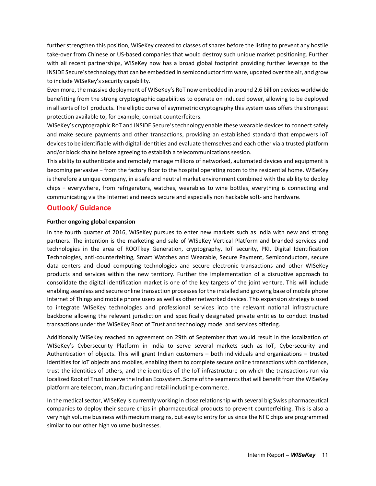further strengthen this position, WISeKey created to classes of shares before the listing to prevent any hostile take-over from Chinese or US-based companies that would destroy such unique market positioning. Further with all recent partnerships, WISeKey now has a broad global footprint providing further leverage to the INSIDE Secure's technology that can be embedded in semiconductor firm ware, updated over the air, and grow to include WISeKey's security capability.

Even more, the massive deployment of WISeKey's RoT now embedded in around 2.6 billion devices worldwide benefitting from the strong cryptographic capabilities to operate on induced power, allowing to be deployed in all sorts of IoT products. The elliptic curve of asymmetric cryptography this system uses offers the strongest protection available to, for example, combat counterfeiters.

WISeKey's cryptographic RoT and INSIDE Secure's technology enable these wearable devices to connect safely and make secure payments and other transactions, providing an established standard that empowers IoT devices to be identifiable with digital identities and evaluate themselves and each other via a trusted platform and/or block chains before agreeing to establish a telecommunications session.

This ability to authenticate and remotely manage millions of networked, automated devices and equipment is becoming pervasive − from the factory floor to the hospital operating room to the residential home. WISeKey is therefore a unique company, in a safe and neutral market environment combined with the ability to deploy chips − everywhere, from refrigerators, watches, wearables to wine bottles, everything is connecting and communicating via the Internet and needs secure and especially non hackable soft- and hardware.

## **Outlook/ Guidance**

#### **Further ongoing global expansion**

In the fourth quarter of 2016, WISeKey pursues to enter new markets such as India with new and strong partners. The intention is the marketing and sale of WISeKey Vertical Platform and branded services and technologies in the area of ROOTkey Generation, cryptography, IoT security, PKI, Digital Identification Technologies, anti-counterfeiting, Smart Watches and Wearable, Secure Payment, Semiconductors, secure data centers and cloud computing technologies and secure electronic transactions and other WISeKey products and services within the new territory. Further the implementation of a disruptive approach to consolidate the digital identification market is one of the key targets of the joint venture. This will include enabling seamless and secure online transaction processes for the installed and growing base of mobile phone Internet of Things and mobile phone users as well as other networked devices. This expansion strategy is used to integrate WISeKey technologies and professional services into the relevant national infrastructure backbone allowing the relevant jurisdiction and specifically designated private entities to conduct trusted transactions under the WISeKey Root of Trust and technology model and services offering.

Additionally WISeKey reached an agreement on 29th of September that would result in the localization of WISeKey's Cybersecurity Platform in India to serve several markets such as IoT, Cybersecurity and Authentication of objects. This will grant Indian customers – both individuals and organizations – trusted identities for IoT objects and mobiles, enabling them to complete secure online transactions with confidence, trust the identities of others, and the identities of the IoT infrastructure on which the transactions run via localized Root of Trust to serve the Indian Ecosystem. Some of the segments that will benefit from the WISeKey platform are telecom, manufacturing and retail including e-commerce.

In the medical sector, WISeKey is currently working in close relationship with several big Swiss pharmaceutical companies to deploy their secure chips in pharmaceutical products to prevent counterfeiting. This is also a very high volume business with medium margins, but easy to entry for us since the NFC chips are programmed similar to our other high volume businesses.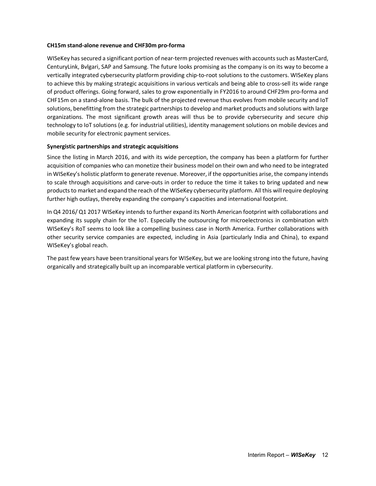#### **CH15m stand-alone revenue and CHF30m pro-forma**

WISeKey has secured a significant portion of near-term projected revenues with accounts such as MasterCard, CenturyLink, Bvlgari, SAP and Samsung. The future looks promising as the company is on its way to become a vertically integrated cybersecurity platform providing chip-to-root solutions to the customers. WISeKey plans to achieve this by making strategic acquisitions in various verticals and being able to cross-sell its wide range of product offerings. Going forward, sales to grow exponentially in FY2016 to around CHF29m pro-forma and CHF15m on a stand-alone basis. The bulk of the projected revenue thus evolves from mobile security and IoT solutions, benefitting from the strategic partnerships to develop and market products and solutions with large organizations. The most significant growth areas will thus be to provide cybersecurity and secure chip technology to IoT solutions (e.g. for industrial utilities), identity management solutions on mobile devices and mobile security for electronic payment services.

#### **Synergistic partnerships and strategic acquisitions**

Since the listing in March 2016, and with its wide perception, the company has been a platform for further acquisition of companies who can monetize their business model on their own and who need to be integrated in WISeKey's holistic platform to generate revenue. Moreover, if the opportunities arise, the company intends to scale through acquisitions and carve-outs in order to reduce the time it takes to bring updated and new products to market and expand the reach of the WISeKey cybersecurity platform. All this will require deploying further high outlays, thereby expanding the company's capacities and international footprint.

In Q4 2016/ Q1 2017 WISeKey intends to further expand its North American footprint with collaborations and expanding its supply chain for the IoT. Especially the outsourcing for microelectronics in combination with WISeKey's RoT seems to look like a compelling business case in North America. Further collaborations with other security service companies are expected, including in Asia (particularly India and China), to expand WISeKey's global reach.

The past few years have been transitional years for WISeKey, but we are looking strong into the future, having organically and strategically built up an incomparable vertical platform in cybersecurity.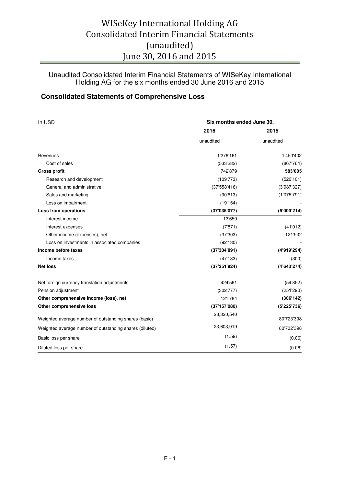Unaudited Consolidated Interim Financial Statements of WISeKey International Holding AG for the six months ended 30 June 2016 and 2015

## **Consolidated Statements of Comprehensive Loss**

| In USD                                                  | Six months ended June 30, |             |  |  |
|---------------------------------------------------------|---------------------------|-------------|--|--|
|                                                         | 2016                      | 2015        |  |  |
|                                                         | unaudited                 | unaudited   |  |  |
| Revenues                                                | 1'276'161                 | 1'450'402   |  |  |
| Cost of sales                                           | (533'282)                 | (867'764)   |  |  |
| <b>Gross profit</b>                                     | 742'879                   | 583'005     |  |  |
| Research and development                                | (109'773)                 | (520'101)   |  |  |
| General and administrative                              | (37'558'416)              | (3'987'327) |  |  |
| Sales and marketing                                     | (90'613)                  | (1'075'791) |  |  |
| Loss on impairment                                      | (19'154)                  |             |  |  |
| Loss from operations                                    | (37'035'077)              | (5'000'214) |  |  |
| Interest income                                         | 13'650                    |             |  |  |
| Interest expenses                                       | (7'871)                   | (41'012)    |  |  |
| Other income (expenses), net                            | (37'303)                  | 121'932     |  |  |
| Loss on investments in associated companies             | (92'130)                  |             |  |  |
| Income before taxes                                     | (37'304'891)              | (4'919'294) |  |  |
| Income taxes                                            | (47'133)                  | (300)       |  |  |
| <b>Net loss</b>                                         | (37'351'924)              | (4'643'274) |  |  |
| Net foreign currency translation adjustments            | 424'561                   | (54'852)    |  |  |
| Pension adjustment                                      | (302'777)                 | (251'290)   |  |  |
| Other comprehensive income (loss), net                  | 121'784                   | (306'142)   |  |  |
| Other comprehensive loss                                | (37'157'080)              | (5'225'736) |  |  |
| Weighted average number of outstanding shares (basic)   | 23,320,540                | 80'723'398  |  |  |
| Weighted average number of outstanding shares (diluted) | 23,603,919                | 80'732'398  |  |  |
| Basic loss per share                                    | (1.59)                    | (0.06)      |  |  |
| Diluted loss per share                                  | (1.57)                    | (0.06)      |  |  |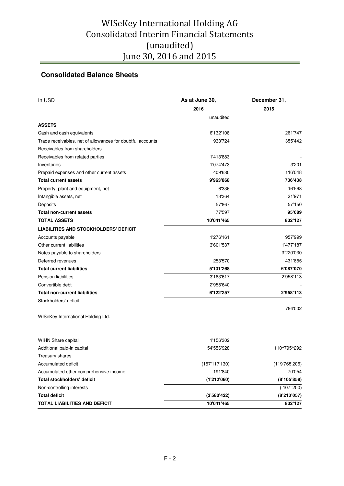## **Consolidated Balance Sheets**

| 2016<br>2015<br>unaudited<br><b>ASSETS</b><br>6'132'108<br>261'747<br>Cash and cash equivalents |         |
|-------------------------------------------------------------------------------------------------|---------|
|                                                                                                 |         |
|                                                                                                 |         |
|                                                                                                 |         |
|                                                                                                 |         |
| Trade receivables, net of allowances for doubtful accounts<br>933'724                           | 355'442 |
| Receivables from shareholders                                                                   |         |
| Receivables from related parties<br>1'413'883                                                   |         |
| 1'074'473<br>Inventories                                                                        | 3'201   |
| Prepaid expenses and other current assets<br>409'680                                            | 116'048 |
| <b>Total current assets</b><br>9'963'868                                                        | 736'438 |
| 6'336<br>Property, plant and equipment, net                                                     | 16'568  |
| Intangible assets, net<br>13'364                                                                | 21'971  |
| Deposits<br>57'867                                                                              | 57'150  |
| <b>Total non-current assets</b><br>77'597                                                       | 95'689  |
| 832'127<br>10'041'465<br><b>TOTAL ASSETS</b>                                                    |         |
| <b>LIABILITIES AND STOCKHOLDERS' DEFICIT</b>                                                    |         |
| 1'276'161<br>Accounts payable                                                                   | 957'999 |
| Other current liabilities<br>1'477'187<br>3'601'537                                             |         |
| Notes payable to shareholders<br>3'220'030                                                      |         |
| Deferred revenues<br>253'570                                                                    | 431'855 |
| <b>Total current liabilities</b><br>5'131'268<br>6'087'070                                      |         |
| 2'958'113<br><b>Pension liabilities</b><br>3'163'617                                            |         |
| Convertible debt<br>2'958'640                                                                   |         |
| <b>Total non-current liabilities</b><br>6'122'257<br>2'958'113                                  |         |
| Stockholders' deficit                                                                           |         |
|                                                                                                 | 794'002 |
| WISeKey International Holding Ltd.                                                              |         |
| 1'156'302<br><b>WIHN Share capital</b>                                                          |         |
| Additional paid-in capital<br>154'556'928<br>110^795^292                                        |         |
| Treasury shares                                                                                 |         |
| Accumulated deficit<br>(119'765'206)<br>(157'117'130)                                           |         |
| 191'840<br>Accumulated other comprehensive income                                               | 70'054  |
| <b>Total stockholders' deficit</b><br>(1'212'060)<br>(8'105'858)                                |         |
| Non-controlling interests<br>(107"200)                                                          |         |
| <b>Total deficit</b><br>(8'213'057)<br>(3'580'422)                                              |         |
| 832'127<br>TOTAL LIABILITIES AND DEFICIT<br>10'041'465                                          |         |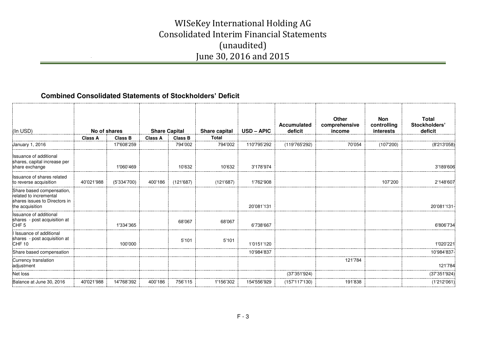## **Combined Consolidated Statements of Stockholders' Deficit**

|                                                                                                         |                |                |                      |                |               |                   | Accumulated   | <b>Other</b><br>comprehensive | <b>Non</b><br>controlling | <b>Total</b><br>Stockholders' |
|---------------------------------------------------------------------------------------------------------|----------------|----------------|----------------------|----------------|---------------|-------------------|---------------|-------------------------------|---------------------------|-------------------------------|
| (In USD)                                                                                                | No of shares   |                | <b>Share Capital</b> |                | Share capital | <b>USD - APIC</b> | deficit       | income                        | interests                 | deficit                       |
|                                                                                                         | <b>Class A</b> | <b>Class B</b> | <b>Class A</b>       | <b>Class B</b> | <b>Total</b>  |                   |               |                               |                           |                               |
| January 1, 2016                                                                                         |                | 17'608'259     |                      | 794'002        | 794'002       | 110'795'292       | (119'765'292) | 70'054                        | (107'200)                 | (8'213'058)                   |
| Issuance of additional<br>shares, capital increase per<br>share exchange                                |                | 1'060'469      |                      | 10'632         | 10'632        | 3'178'974         |               |                               |                           | 3'189'606                     |
| Issuance of shares related<br>to reverse acquisition                                                    | 40'021'988     | (5'334'700)    | 400'186              | (121'687)      | (121'687)     | 1'762'908         |               |                               | 107'200                   | 2'148'607                     |
| Share based compensation,<br>related to incremental<br>shares issues to Directors in<br>the acquisition |                |                |                      |                |               | 20'081'131        |               |                               |                           | 20'081'131-                   |
| Issuance of additional<br>shares - post acquisition at<br>CHF <sub>5</sub>                              |                | 1'334'365      |                      | 68'067         | 68'067        | 6'738'667         |               |                               |                           | 6'806'734                     |
| Issuance of additional<br>shares - post acquisition at<br>CHF <sub>10</sub>                             |                | 100'000        |                      | 5'101          | 5'101         | 1'0151'120        |               |                               |                           | 1'020'221                     |
| Share based compensation                                                                                |                |                |                      |                |               | 10'984'837        |               |                               |                           | 10'984'837                    |
| Currency translation<br>adjustment                                                                      |                |                |                      |                |               |                   |               | 121'784                       |                           | 121'784                       |
| Net loss                                                                                                |                |                |                      |                |               |                   | (37'351'924)  |                               |                           | (37'351'924)                  |
| Balance at June 30, 2016                                                                                | 40'021'988     | 14'768'392     | 400'186              | 756'115        | 1'156'302     | 154'556'929       | (157'117'130) | 191'838                       |                           | (1'212'061)                   |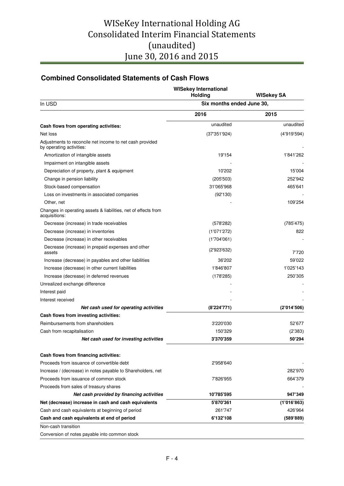## **Combined Consolidated Statements of Cash Flows**

|                                                                                      | <b>WISekey International</b><br>Holding | <b>WISekey SA</b> |  |  |
|--------------------------------------------------------------------------------------|-----------------------------------------|-------------------|--|--|
| In USD                                                                               | Six months ended June 30,               |                   |  |  |
|                                                                                      | 2016                                    | 2015              |  |  |
| Cash flows from operating activities:                                                | unaudited                               | unaudited         |  |  |
| Net loss                                                                             | (37'351'924)                            | (4'919'594)       |  |  |
| Adjustments to reconcile net income to net cash provided<br>by operating activities: |                                         |                   |  |  |
| Amortization of intangible assets                                                    | 19'154                                  | 1'841'262         |  |  |
| Impairment on intangible assets                                                      |                                         |                   |  |  |
| Depreciation of property, plant & equipment                                          | 10'202                                  | 15'004            |  |  |
| Change in pension liability                                                          | (205'503)                               | 252'942           |  |  |
| Stock-based compensation                                                             | 31'065'968                              | 465'641           |  |  |
| Loss on investments in associated companies                                          | (92'130)                                |                   |  |  |
| Other, net                                                                           |                                         | 109'254           |  |  |
| Changes in operating assets & liabilities, net of effects from<br>acquisitions:      |                                         |                   |  |  |
| Decrease (increase) in trade receivables                                             | (578'282)                               | (785'475)         |  |  |
| Decrease (increase) in inventories                                                   | (1'071'272)                             | 822               |  |  |
| Decrease (increase) in other receivables                                             | (1'704'061)                             |                   |  |  |
| Decrease (increase) in prepaid expenses and other<br>assets                          | (2'923'632)                             | 7'720             |  |  |
| Increase (decrease) in payables and other liabilities                                | 36'202                                  | 59'022            |  |  |
| Increase (decrease) in other current liabilities                                     | 1'846'807                               | 1'025'143         |  |  |
| Increase (decrease) in deferred revenues                                             | (178'285)                               | 250'305           |  |  |
| Unrealized exchange difference                                                       |                                         |                   |  |  |
| Interest paid                                                                        |                                         |                   |  |  |
| Interest received                                                                    |                                         |                   |  |  |
| Net cash used for operating activities                                               | (8'224'771)                             | (2'014'506)       |  |  |
| Cash flows from investing activities:                                                |                                         |                   |  |  |
| Reimbursements from shareholders                                                     | 3'220'030                               | 52'677            |  |  |
| Cash from recapitalisation                                                           | 150'329                                 | (2'383)           |  |  |
| Net cash used for investing activities                                               | 3'370'359                               | 50'294            |  |  |
| Cash flows from financing activities:                                                |                                         |                   |  |  |
| Proceeds from issuance of convertible debt                                           | 2'958'640                               |                   |  |  |
| Increase / (decrease) in notes payable to Shareholders, net                          |                                         | 282'970           |  |  |
| Proceeds from issuance of common stock                                               | 7'826'955                               | 664'379           |  |  |
| Proceeds from sales of treasury shares                                               |                                         |                   |  |  |
| Net cash provided by financing activities                                            | 10'785'595                              | 947'349           |  |  |
| Net (decrease) increase in cash and cash equivalents                                 | 5'870'361                               | (1'016'863)       |  |  |
| Cash and cash equivalents at beginning of period                                     | 261'747                                 | 426'964           |  |  |
| Cash and cash equivalents at end of period                                           | 6'132'108                               | (589'889)         |  |  |
| Non-cash transition                                                                  |                                         |                   |  |  |
| Conversion of notes payable into common stock                                        |                                         |                   |  |  |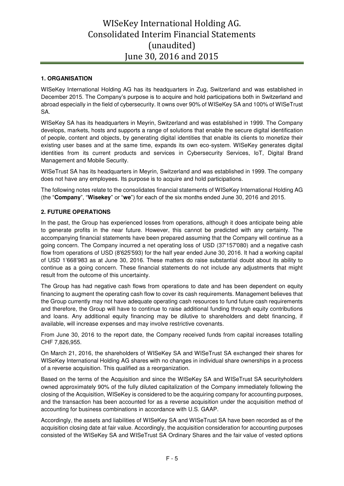## **1. ORGANISATION**

WISeKey International Holding AG has its headquarters in Zug, Switzerland and was established in December 2015. The Company's purpose is to acquire and hold participations both in Switzerland and abroad especially in the field of cybersecurity. It owns over 90% of WISeKey SA and 100% of WISeTrust SA.

WISeKey SA has its headquarters in Meyrin, Switzerland and was established in 1999. The Company develops, markets, hosts and supports a range of solutions that enable the secure digital identification of people, content and objects, by generating digital identities that enable its clients to monetize their existing user bases and at the same time, expands its own eco-system. WISeKey generates digital identities from its current products and services in Cybersecurity Services, IoT, Digital Brand Management and Mobile Security.

WISeTrust SA has its headquarters in Meyrin, Switzerland and was established in 1999. The company does not have any employees. Its purpose is to acquire and hold participations.

The following notes relate to the consolidates financial statements of WISeKey International Holding AG (the "**Company**", "**Wisekey**" or "**we**") for each of the six months ended June 30, 2016 and 2015.

### **2. FUTURE OPERATIONS**

In the past, the Group has experienced losses from operations, although it does anticipate being able to generate profits in the near future. However, this cannot be predicted with any certainty. The accompanying financial statements have been prepared assuming that the Company will continue as a going concern. The Company incurred a net operating loss of USD (37'157'080) and a negative cash flow from operations of USD (8'625'593) for the half year ended June 30, 2016. It had a working capital of USD 1'668'983 as at June 30, 2016. These matters do raise substantial doubt about its ability to continue as a going concern. These financial statements do not include any adjustments that might result from the outcome of this uncertainty.

The Group has had negative cash flows from operations to date and has been dependent on equity financing to augment the operating cash flow to cover its cash requirements. Management believes that the Group currently may not have adequate operating cash resources to fund future cash requirements and therefore, the Group will have to continue to raise additional funding through equity contributions and loans. Any additional equity financing may be dilutive to shareholders and debt financing, if available, will increase expenses and may involve restrictive covenants.

From June 30, 2016 to the report date, the Company received funds from capital increases totalling CHF 7,826,955.

On March 21, 2016, the shareholders of WISeKey SA and WISeTrust SA exchanged their shares for WISeKey International Holding AG shares with no changes in individual share ownerships in a process of a reverse acquisition. This qualified as a reorganization.

Based on the terms of the Acquisition and since the WISeKey SA and WISeTrust SA securityholders owned approximately 90% of the fully diluted capitalization of the Company immediately following the closing of the Acquisition, WISeKey is considered to be the acquiring company for accounting purposes, and the transaction has been accounted for as a reverse acquisition under the acquisition method of accounting for business combinations in accordance with U.S. GAAP.

Accordingly, the assets and liabilities of WISeKey SA and WISeTrust SA have been recorded as of the acquisition closing date at fair value. Accordingly, the acquisition consideration for accounting purposes consisted of the WISeKey SA and WISeTrust SA Ordinary Shares and the fair value of vested options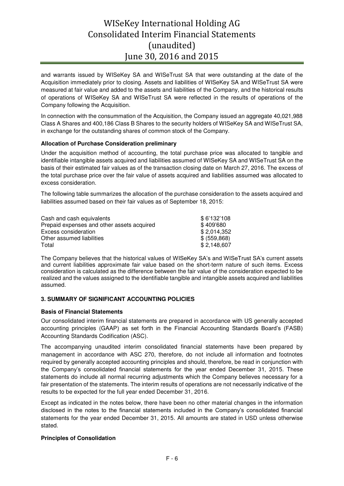and warrants issued by WISeKey SA and WISeTrust SA that were outstanding at the date of the Acquisition immediately prior to closing. Assets and liabilities of WISeKey SA and WISeTrust SA were measured at fair value and added to the assets and liabilities of the Company, and the historical results of operations of WISeKey SA and WISeTrust SA were reflected in the results of operations of the Company following the Acquisition.

In connection with the consummation of the Acquisition, the Company issued an aggregate 40,021,988 Class A Shares and 400,186 Class B Shares to the security holders of WISeKey SA and WISeTrust SA, in exchange for the outstanding shares of common stock of the Company.

### **Allocation of Purchase Consideration preliminary**

Under the acquisition method of accounting, the total purchase price was allocated to tangible and identifiable intangible assets acquired and liabilities assumed of WISeKey SA and WISeTrust SA on the basis of their estimated fair values as of the transaction closing date on March 27, 2016. The excess of the total purchase price over the fair value of assets acquired and liabilities assumed was allocated to excess consideration.

The following table summarizes the allocation of the purchase consideration to the assets acquired and liabilities assumed based on their fair values as of September 18, 2015:

| Cash and cash equivalents                  | \$6'132'108  |
|--------------------------------------------|--------------|
| Prepaid expenses and other assets acquired | \$409'680    |
| Excess consideration                       | \$2,014,352  |
| Other assumed liabilities                  | \$ (559,868) |
| Total                                      | \$2,148,607  |

The Company believes that the historical values of WISeKey SA's and WISeTrust SA's current assets and current liabilities approximate fair value based on the short-term nature of such items. Excess consideration is calculated as the difference between the fair value of the consideration expected to be realized and the values assigned to the identifiable tangible and intangible assets acquired and liabilities assumed.

## **3. SUMMARY OF SIGNIFICANT ACCOUNTING POLICIES**

### **Basis of Financial Statements**

Our consolidated interim financial statements are prepared in accordance with US generally accepted accounting principles (GAAP) as set forth in the Financial Accounting Standards Board's (FASB) Accounting Standards Codification (ASC).

The accompanying unaudited interim consolidated financial statements have been prepared by management in accordance with ASC 270, therefore, do not include all information and footnotes required by generally accepted accounting principles and should, therefore, be read in conjunction with the Company's consolidated financial statements for the year ended December 31, 2015. These statements do include all normal recurring adjustments which the Company believes necessary for a fair presentation of the statements. The interim results of operations are not necessarily indicative of the results to be expected for the full year ended December 31, 2016.

Except as indicated in the notes below, there have been no other material changes in the information disclosed in the notes to the financial statements included in the Company's consolidated financial statements for the year ended December 31, 2015. All amounts are stated in USD unless otherwise stated.

### **Principles of Consolidation**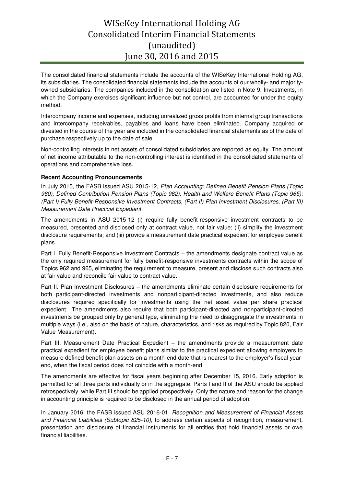The consolidated financial statements include the accounts of the WISeKey International Holding AG, its subsidiaries. The consolidated financial statements include the accounts of our wholly- and majorityowned subsidiaries. The companies included in the consolidation are listed in Note 9. Investments, in which the Company exercises significant influence but not control, are accounted for under the equity method.

Intercompany income and expenses, including unrealized gross profits from internal group transactions and intercompany receivables, payables and loans have been eliminated. Company acquired or divested in the course of the year are included in the consolidated financial statements as of the date of purchase respectively up to the date of sale.

Non-controlling interests in net assets of consolidated subsidiaries are reported as equity. The amount of net income attributable to the non-controlling interest is identified in the consolidated statements of operations and comprehensive loss.

### **Recent Accounting Pronouncements**

In July 2015, the FASB issued ASU 2015-12, *Plan Accounting: Defined Benefit Pension Plans (Topic 960), Defined Contribution Pension Plans (Topic 962), Health and Welfare Benefit Plans (Topic 965): (Part I) Fully Benefit-Responsive Investment Contracts, (Part II) Plan Investment Disclosures, (Part III) Measurement Date Practical Expedient.* 

The amendments in ASU 2015-12 (i) require fully benefit-responsive investment contracts to be measured, presented and disclosed only at contract value, not fair value; (ii) simplify the investment disclosure requirements; and (iii) provide a measurement date practical expedient for employee benefit plans.

Part I. Fully Benefit-Responsive Investment Contracts – the amendments designate contract value as the only required measurement for fully benefit-responsive investments contracts within the scope of Topics 962 and 965, eliminating the requirement to measure, present and disclose such contracts also at fair value and reconcile fair value to contract value.

Part II. Plan Investment Disclosures – the amendments eliminate certain disclosure requirements for both participant-directed investments and nonparticipant-directed investments, and also reduce disclosures required specifically for investments using the net asset value per share practical expedient. The amendments also require that both participant-directed and nonparticipant-directed investments be grouped only by general type, eliminating the need to disaggregate the investments in multiple ways (i.e., also on the basis of nature, characteristics, and risks as required by Topic 820, Fair Value Measurement).

Part III. Measurement Date Practical Expedient – the amendments provide a measurement date practical expedient for employee benefit plans similar to the practical expedient allowing employers to measure defined benefit plan assets on a month-end date that is nearest to the employer's fiscal yearend, when the fiscal period does not coincide with a month-end.

The amendments are effective for fiscal years beginning after December 15, 2016. Early adoption is permitted for all three parts individually or in the aggregate. Parts I and II of the ASU should be applied retrospectively, while Part III should be applied prospectively. Only the nature and reason for the change in accounting principle is required to be disclosed in the annual period of adoption.

In January 2016, the FASB issued ASU 2016-01, *Recognition and Measurement of Financial Assets and Financial Liabilities (Subtopic 825-10),* to address certain aspects of recognition, measurement, presentation and disclosure of financial instruments for all entities that hold financial assets or owe financial liabilities.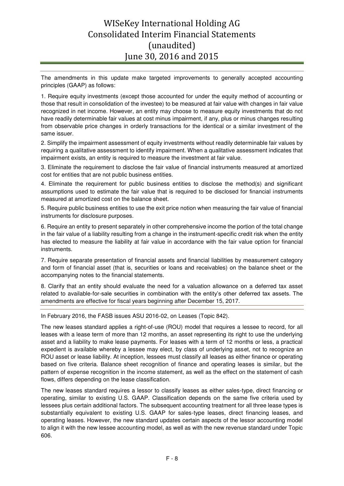The amendments in this update make targeted improvements to generally accepted accounting principles (GAAP) as follows:

1. Require equity investments (except those accounted for under the equity method of accounting or those that result in consolidation of the investee) to be measured at fair value with changes in fair value recognized in net income. However, an entity may choose to measure equity investments that do not have readily determinable fair values at cost minus impairment, if any, plus or minus changes resulting from observable price changes in orderly transactions for the identical or a similar investment of the same issuer.

2. Simplify the impairment assessment of equity investments without readily determinable fair values by requiring a qualitative assessment to identify impairment. When a qualitative assessment indicates that impairment exists, an entity is required to measure the investment at fair value.

3. Eliminate the requirement to disclose the fair value of financial instruments measured at amortized cost for entities that are not public business entities.

4. Eliminate the requirement for public business entities to disclose the method(s) and significant assumptions used to estimate the fair value that is required to be disclosed for financial instruments measured at amortized cost on the balance sheet.

5. Require public business entities to use the exit price notion when measuring the fair value of financial instruments for disclosure purposes.

6. Require an entity to present separately in other comprehensive income the portion of the total change in the fair value of a liability resulting from a change in the instrument-specific credit risk when the entity has elected to measure the liability at fair value in accordance with the fair value option for financial instruments.

7. Require separate presentation of financial assets and financial liabilities by measurement category and form of financial asset (that is, securities or loans and receivables) on the balance sheet or the accompanying notes to the financial statements.

8. Clarify that an entity should evaluate the need for a valuation allowance on a deferred tax asset related to available-for-sale securities in combination with the entity's other deferred tax assets. The amendments are effective for fiscal years beginning after December 15, 2017.

In February 2016, the FASB issues ASU 2016-02, on Leases (Topic 842).

The new leases standard applies a right-of-use (ROU) model that requires a lessee to record, for all leases with a lease term of more than 12 months, an asset representing its right to use the underlying asset and a liability to make lease payments. For leases with a term of 12 months or less, a practical expedient is available whereby a lessee may elect, by class of underlying asset, not to recognize an ROU asset or lease liability. At inception, lessees must classify all leases as either finance or operating based on five criteria. Balance sheet recognition of finance and operating leases is similar, but the pattern of expense recognition in the income statement, as well as the effect on the statement of cash flows, differs depending on the lease classification.

The new leases standard requires a lessor to classify leases as either sales-type, direct financing or operating, similar to existing U.S. GAAP. Classification depends on the same five criteria used by lessees plus certain additional factors. The subsequent accounting treatment for all three lease types is substantially equivalent to existing U.S. GAAP for sales-type leases, direct financing leases, and operating leases. However, the new standard updates certain aspects of the lessor accounting model to align it with the new lessee accounting model, as well as with the new revenue standard under Topic 606.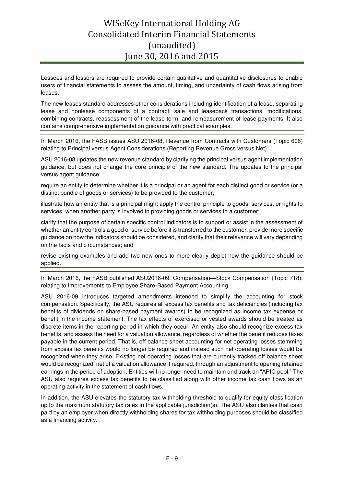Lessees and lessors are required to provide certain qualitative and quantitative disclosures to enable users of financial statements to assess the amount, timing, and uncertainty of cash flows arising from leases.

The new leases standard addresses other considerations including identification of a lease, separating lease and nonlease components of a contract, sale and leaseback transactions, modifications, combining contracts, reassessment of the lease term, and remeasurement of lease payments. It also contains comprehensive implementation guidance with practical examples.

In March 2016, the FASB issues ASU 2016-08, Revenue from Contracts with Customers (Topic 606) relating to Principal versus Agent Considerations (Reporting Revenue Gross versus Net)

ASU 2016-08 updates the new revenue standard by clarifying the principal versus agent implementation guidance, but does not change the core principle of the new standard. The updates to the principal versus agent guidance:

require an entity to determine whether it is a principal or an agent for each distinct good or service (or a distinct bundle of goods or services) to be provided to the customer;

illustrate how an entity that is a principal might apply the control principle to goods, services, or rights to services, when another party is involved in providing goods or services to a customer;

clarify that the purpose of certain specific control indicators is to support or assist in the assessment of whether an entity controls a good or service before it is transferred to the customer, provide more specific guidance on how the indicators should be considered, and clarify that their relevance will vary depending on the facts and circumstances; and

revise existing examples and add two new ones to more clearly depict how the guidance should be applied.

In March 2016, the FASB published ASU2016-09, Compensation—Stock Compensation (Topic 718), relating to Improvements to Employee Share-Based Payment Accounting

ASU 2016-09 introduces targeted amendments intended to simplify the accounting for stock compensation. Specifically, the ASU requires all excess tax benefits and tax deficiencies (including tax benefits of dividends on share-based payment awards) to be recognized as income tax expense or benefit in the income statement. The tax effects of exercised or vested awards should be treated as discrete items in the reporting period in which they occur. An entity also should recognize excess tax benefits, and assess the need for a valuation allowance, regardless of whether the benefit reduces taxes payable in the current period. That is, off balance sheet accounting for net operating losses stemming from excess tax benefits would no longer be required and instead such net operating losses would be recognized when they arise. Existing net operating losses that are currently tracked off balance sheet would be recognized, net of a valuation allowance if required, through an adjustment to opening retained earnings in the period of adoption. Entities will no longer need to maintain and track an "APIC pool." The ASU also requires excess tax benefits to be classified along with other income tax cash flows as an operating activity in the statement of cash flows.

In addition, the ASU elevates the statutory tax withholding threshold to qualify for equity classification up to the maximum statutory tax rates in the applicable jurisdiction(s). The ASU also clarifies that cash paid by an employer when directly withholding shares for tax withholding purposes should be classified as a financing activity.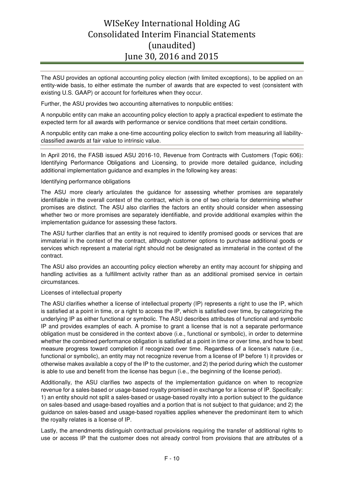The ASU provides an optional accounting policy election (with limited exceptions), to be applied on an entity-wide basis, to either estimate the number of awards that are expected to vest (consistent with existing U.S. GAAP) or account for forfeitures when they occur.

Further, the ASU provides two accounting alternatives to nonpublic entities:

A nonpublic entity can make an accounting policy election to apply a practical expedient to estimate the expected term for all awards with performance or service conditions that meet certain conditions.

A nonpublic entity can make a one-time accounting policy election to switch from measuring all liabilityclassified awards at fair value to intrinsic value.

In April 2016, the FASB issued ASU 2016-10, Revenue from Contracts with Customers (Topic 606): Identifying Performance Obligations and Licensing, to provide more detailed guidance, including additional implementation guidance and examples in the following key areas:

#### Identifying performance obligations

The ASU more clearly articulates the guidance for assessing whether promises are separately identifiable in the overall context of the contract, which is one of two criteria for determining whether promises are distinct. The ASU also clarifies the factors an entity should consider when assessing whether two or more promises are separately identifiable, and provide additional examples within the implementation guidance for assessing these factors.

The ASU further clarifies that an entity is not required to identify promised goods or services that are immaterial in the context of the contract, although customer options to purchase additional goods or services which represent a material right should not be designated as immaterial in the context of the contract.

The ASU also provides an accounting policy election whereby an entity may account for shipping and handling activities as a fulfillment activity rather than as an additional promised service in certain circumstances.

#### Licenses of intellectual property

The ASU clarifies whether a license of intellectual property (IP) represents a right to use the IP, which is satisfied at a point in time, or a right to access the IP, which is satisfied over time, by categorizing the underlying IP as either functional or symbolic. The ASU describes attributes of functional and symbolic IP and provides examples of each. A promise to grant a license that is not a separate performance obligation must be considered in the context above (i.e., functional or symbolic), in order to determine whether the combined performance obligation is satisfied at a point in time or over time, and how to best measure progress toward completion if recognized over time. Regardless of a license's nature (i.e., functional or symbolic), an entity may not recognize revenue from a license of IP before 1) it provides or otherwise makes available a copy of the IP to the customer, and 2) the period during which the customer is able to use and benefit from the license has begun (i.e., the beginning of the license period).

Additionally, the ASU clarifies two aspects of the implementation guidance on when to recognize revenue for a sales-based or usage-based royalty promised in exchange for a license of IP. Specifically: 1) an entity should not split a sales-based or usage-based royalty into a portion subject to the guidance on sales-based and usage-based royalties and a portion that is not subject to that guidance; and 2) the guidance on sales-based and usage-based royalties applies whenever the predominant item to which the royalty relates is a license of IP.

Lastly, the amendments distinguish contractual provisions requiring the transfer of additional rights to use or access IP that the customer does not already control from provisions that are attributes of a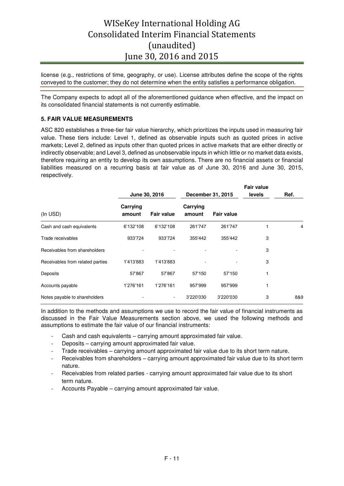license (e.g., restrictions of time, geography, or use). License attributes define the scope of the rights conveyed to the customer; they do not determine when the entity satisfies a performance obligation.

The Company expects to adopt all of the aforementioned guidance when effective, and the impact on its consolidated financial statements is not currently estimable.

### **5. FAIR VALUE MEASUREMENTS**

ASC 820 establishes a three-tier fair value hierarchy, which prioritizes the inputs used in measuring fair value. These tiers include: Level 1, defined as observable inputs such as quoted prices in active markets; Level 2, defined as inputs other than quoted prices in active markets that are either directly or indirectly observable; and Level 3, defined as unobservable inputs in which little or no market data exists, therefore requiring an entity to develop its own assumptions. There are no financial assets or financial liabilities measured on a recurring basis at fair value as of June 30, 2016 and June 30, 2015, respectively.

|                                  | June 30, 2016      |                   | December 31, 2015  |                   | <b>Fair value</b><br>levels | Ref. |
|----------------------------------|--------------------|-------------------|--------------------|-------------------|-----------------------------|------|
| (In USD)                         | Carrying<br>amount | <b>Fair value</b> | Carrying<br>amount | <b>Fair value</b> |                             |      |
| Cash and cash equivalents        | 6'132'108          | 6'132'108         | 261'747            | 261'747           |                             | 4    |
| Trade receivables                | 933'724            | 933'724           | 355'442            | 355'442           | 3                           |      |
| Receivables from shareholders    |                    |                   |                    |                   | 3                           |      |
| Receivables from related parties | 1'413'883          | 1'413'883         |                    |                   | 3                           |      |
| Deposits                         | 57'867             | 57'867            | 57'150             | 57'150            | 1                           |      |
| Accounts payable                 | 1'276'161          | 1'276'161         | 957'999            | 957'999           | 1                           |      |
| Notes payable to shareholders    |                    | ۰.                | 3'220'030          | 3'220'030         | 3                           | 8&9  |

In addition to the methods and assumptions we use to record the fair value of financial instruments as discussed in the Fair Value Measurements section above, we used the following methods and assumptions to estimate the fair value of our financial instruments:

- Cash and cash equivalents carrying amount approximated fair value.
- Deposits carrying amount approximated fair value.
- Trade receivables carrying amount approximated fair value due to its short term nature.
- Receivables from shareholders carrying amount approximated fair value due to its short term nature.
- Receivables from related parties carrying amount approximated fair value due to its short term nature.
- Accounts Payable carrying amount approximated fair value.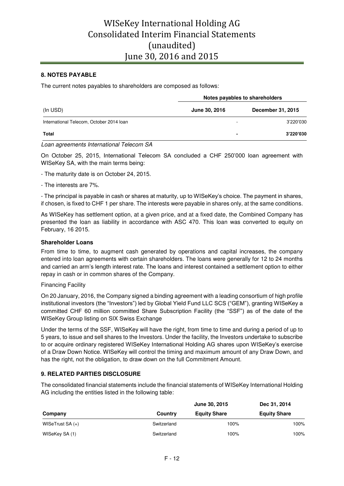## **8. NOTES PAYABLE**

The current notes payables to shareholders are composed as follows:

|                                          | Notes payables to shareholders |                   |  |  |
|------------------------------------------|--------------------------------|-------------------|--|--|
| (In USD)                                 | June 30, 2016                  | December 31, 2015 |  |  |
| International Telecom, October 2014 Ioan | -                              | 3'220'030         |  |  |
| <b>Total</b>                             |                                | 3'220'030         |  |  |

#### *Loan agreements International Telecom SA*

On October 25, 2015, International Telecom SA concluded a CHF 250'000 loan agreement with WISeKey SA, with the main terms being:

- The maturity date is on October 24, 2015.
- The interests are 7%.

- The principal is payable in cash or shares at maturity, up to WISeKey's choice. The payment in shares, if chosen, is fixed to CHF 1 per share. The interests were payable in shares only, at the same conditions.

As WISeKey has settlement option, at a given price, and at a fixed date, the Combined Company has presented the loan as liability in accordance with ASC 470. This loan was converted to equity on February, 16 2015.

#### **Shareholder Loans**

From time to time, to augment cash generated by operations and capital increases, the company entered into loan agreements with certain shareholders. The loans were generally for 12 to 24 months and carried an arm's length interest rate. The loans and interest contained a settlement option to either repay in cash or in common shares of the Company.

Financing Facility

On 20 January, 2016, the Company signed a binding agreement with a leading consortium of high profile institutional investors (the "Investors") led by Global Yield Fund LLC SCS ("GEM"), granting WISeKey a committed CHF 60 million committed Share Subscription Facility (the "SSF") as of the date of the WISeKey Group listing on SIX Swiss Exchange

Under the terms of the SSF, WISeKey will have the right, from time to time and during a period of up to 5 years, to issue and sell shares to the Investors. Under the facility, the Investors undertake to subscribe to or acquire ordinary registered WISeKey International Holding AG shares upon WISeKey's exercise of a Draw Down Notice. WISeKey will control the timing and maximum amount of any Draw Down, and has the right, not the obligation, to draw down on the full Commitment Amount.

### **9. RELATED PARTIES DISCLOSURE**

The consolidated financial statements include the financial statements of WISeKey International Holding AG including the entities listed in the following table:

|                    |             | Dec 31, 2014        |                     |
|--------------------|-------------|---------------------|---------------------|
| Company            | Country     | <b>Equity Share</b> | <b>Equity Share</b> |
| WISeTrust SA $(+)$ | Switzerland | 100%                | 100%                |
| WISeKey SA (1)     | Switzerland | 100%                | 100%                |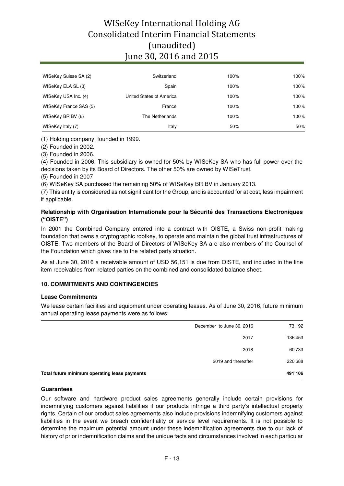| WISeKey Suisse SA (2)  | Switzerland              | 100% | 100% |
|------------------------|--------------------------|------|------|
| WISeKey ELA SL (3)     | Spain                    | 100% | 100% |
| WISeKey USA Inc. (4)   | United States of America | 100% | 100% |
| WISeKey France SAS (5) | France                   | 100% | 100% |
| WISeKey BR BV (6)      | The Netherlands          | 100% | 100% |
| WISeKey Italy (7)      | Italy                    | 50%  | 50%  |

(1) Holding company, founded in 1999.

(2) Founded in 2002.

(3) Founded in 2006.

(4) Founded in 2006. This subsidiary is owned for 50% by WISeKey SA who has full power over the decisions taken by its Board of Directors. The other 50% are owned by WISeTrust.

(5) Founded in 2007

(6) WISeKey SA purchased the remaining 50% of WISeKey BR BV in January 2013.

(7) This entity is considered as not significant for the Group, and is accounted for at cost, less impairment if applicable.

## **Relationship with Organisation Internationale pour la Sécurité des Transactions Electroniques ("OISTE")**

In 2001 the Combined Company entered into a contract with OISTE, a Swiss non-profit making foundation that owns a cryptographic rootkey, to operate and maintain the global trust infrastructures of OISTE. Two members of the Board of Directors of WISeKey SA are also members of the Counsel of the Foundation which gives rise to the related party situation.

As at June 30, 2016 a receivable amount of USD 56,151 is due from OISTE, and included in the line item receivables from related parties on the combined and consolidated balance sheet.

## **10. COMMITMENTS AND CONTINGENCIES**

### **Lease Commitments**

We lease certain facilities and equipment under operating leases. As of June 30, 2016, future minimum annual operating lease payments were as follows:

| December to June 30, 2016                     | 73,192  |
|-----------------------------------------------|---------|
| 2017                                          | 136'453 |
| 2018                                          | 60'733  |
| 2019 and thereafter                           | 220'688 |
| Total future minimum operating lease payments | 491'106 |

### **Guarantees**

Our software and hardware product sales agreements generally include certain provisions for indemnifying customers against liabilities if our products infringe a third party's intellectual property rights. Certain of our product sales agreements also include provisions indemnifying customers against liabilities in the event we breach confidentiality or service level requirements. It is not possible to determine the maximum potential amount under these indemnification agreements due to our lack of history of prior indemnification claims and the unique facts and circumstances involved in each particular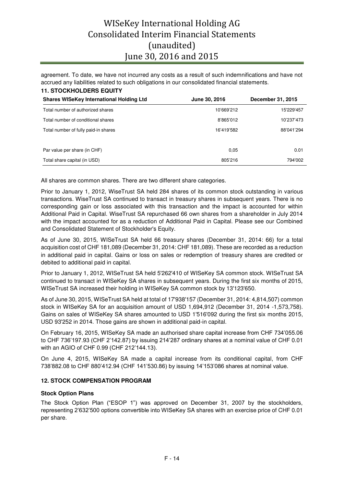agreement. To date, we have not incurred any costs as a result of such indemnifications and have not accrued any liabilities related to such obligations in our consolidated financial statements.

| <b>11. STOCKHOLDERS EQUITY</b>                  |               |                   |
|-------------------------------------------------|---------------|-------------------|
| <b>Shares WISeKey International Holding Ltd</b> | June 30, 2016 | December 31, 2015 |
| Total number of authorized shares               | 10'669'212    | 15'229'457        |
| Total number of conditional shares              | 8'865'012     | 10'237'473        |
| Total number of fully paid-in shares            | 16'419'582    | 88'041'294        |
|                                                 |               |                   |
| Par value per share (in CHF)                    | 0.05          | 0.01              |
| Total share capital (in USD)                    | 805'216       | 794'002           |

All shares are common shares. There are two different share categories.

Prior to January 1, 2012, WiseTrust SA held 284 shares of its common stock outstanding in various transactions. WiseTrust SA continued to transact in treasury shares in subsequent years. There is no corresponding gain or loss associated with this transaction and the impact is accounted for within Additional Paid in Capital. WiseTrust SA repurchased 66 own shares from a shareholder in July 2014 with the impact accounted for as a reduction of Additional Paid in Capital. Please see our Combined and Consolidated Statement of Stockholder's Equity.

As of June 30, 2015, WISeTrust SA held 66 treasury shares (December 31, 2014: 66) for a total acquisition cost of CHF 181,089 (December 31, 2014: CHF 181,089). These are recorded as a reduction in additional paid in capital. Gains or loss on sales or redemption of treasury shares are credited or debited to additional paid in capital.

Prior to January 1, 2012, WISeTrust SA held 5'262'410 of WISeKey SA common stock. WISeTrust SA continued to transact in WISeKey SA shares in subsequent years. During the first six months of 2015, WISeTrust SA increased their holding in WISeKey SA common stock by 13'123'650.

As of June 30, 2015, WISeTrust SA held at total of 17'938'157 (December 31, 2014: 4,814,507) common stock in WISeKey SA for an acquisition amount of USD 1,694,912 (December 31, 2014 -1,573,758). Gains on sales of WISeKey SA shares amounted to USD 1'516'092 during the first six months 2015, USD 93'252 in 2014. Those gains are shown in additional paid-in capital.

On February 16, 2015, WISeKey SA made an authorised share capital increase from CHF 734'055.06 to CHF 736'197.93 (CHF 2'142.87) by issuing 214'287 ordinary shares at a nominal value of CHF 0.01 with an AGIO of CHF 0.99 (CHF 212'144.13).

On June 4, 2015, WISeKey SA made a capital increase from its conditional capital, from CHF 738'882.08 to CHF 880'412.94 (CHF 141'530.86) by issuing 14'153'086 shares at nominal value.

### **12. STOCK COMPENSATION PROGRAM**

### **Stock Option Plans**

The Stock Option Plan ("ESOP 1") was approved on December 31, 2007 by the stockholders, representing 2'632'500 options convertible into WISeKey SA shares with an exercise price of CHF 0.01 per share.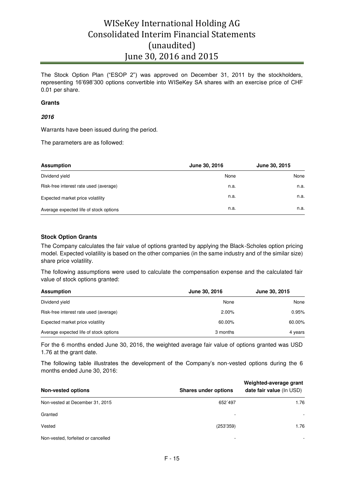The Stock Option Plan ("ESOP 2") was approved on December 31, 2011 by the stockholders, representing 16'698'300 options convertible into WISeKey SA shares with an exercise price of CHF 0.01 per share.

#### **Grants**

### **2016**

Warrants have been issued during the period.

The parameters are as followed:

| <b>Assumption</b>                      | June 30, 2016 | June 30, 2015 |
|----------------------------------------|---------------|---------------|
| Dividend yield                         | None          | None          |
| Risk-free interest rate used (average) | n.a.          | n.a.          |
| Expected market price volatility       | n.a.          | n.a.          |
| Average expected life of stock options | n.a.          | n.a.          |

### **Stock Option Grants**

The Company calculates the fair value of options granted by applying the Black-Scholes option pricing model. Expected volatility is based on the other companies (in the same industry and of the similar size) share price volatility.

The following assumptions were used to calculate the compensation expense and the calculated fair value of stock options granted:

| <b>Assumption</b>                      | June 30, 2016 | June 30, 2015 |
|----------------------------------------|---------------|---------------|
| Dividend yield                         | None          | None          |
| Risk-free interest rate used (average) | 2.00%         | 0.95%         |
| Expected market price volatility       | 60.00%        | 60.00%        |
| Average expected life of stock options | 3 months      | 4 years       |

For the 6 months ended June 30, 2016, the weighted average fair value of options granted was USD 1.76 at the grant date.

The following table illustrates the development of the Company's non-vested options during the 6 months ended June 30, 2016:

| <b>Non-vested options</b>          | <b>Shares under options</b> | Weighted-average grant<br>date fair value (In USD) |
|------------------------------------|-----------------------------|----------------------------------------------------|
| Non-vested at December 31, 2015    | 652'497                     | 1.76                                               |
| Granted                            | -                           |                                                    |
| Vested                             | (253'359)                   | 1.76                                               |
| Non-vested, forfeited or cancelled | ۰                           |                                                    |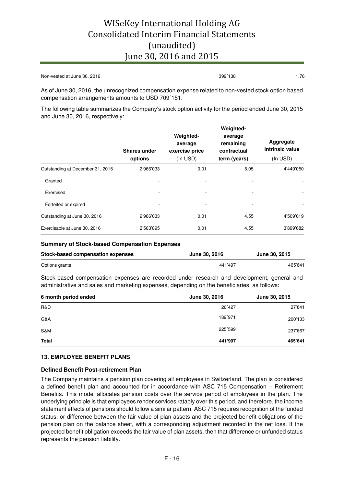| Non-vested at June 30, 2016 | 399'138 | .76 |
|-----------------------------|---------|-----|
|                             |         |     |

As of June 30, 2016, the unrecognized compensation expense related to non-vested stock option based compensation arrangements amounts to USD 709´151.

The following table summarizes the Company's stock option activity for the period ended June 30, 2015 and June 30, 2016, respectively:

|                                  | <b>Shares under</b><br>options | Weighted-<br>average<br>exercise price<br>(In USD) | Weighted-<br>average<br>remaining<br>contractual<br>term (years) | Aggregate<br>intrinsic value<br>(In USD) |
|----------------------------------|--------------------------------|----------------------------------------------------|------------------------------------------------------------------|------------------------------------------|
| Outstanding at December 31, 2015 | 2'966'033                      | 0.01                                               | 5,05                                                             | 4'449'050                                |
| Granted                          |                                |                                                    |                                                                  |                                          |
| Exercised                        |                                |                                                    | $\overline{\phantom{a}}$                                         |                                          |
| Forfeited or expired             |                                |                                                    |                                                                  |                                          |
| Outstanding at June 30, 2016     | 2'966'033                      | 0.01                                               | 4.55                                                             | 4'509'019                                |
| Exercisable at June 30, 2016     | 2'563'895                      | 0.01                                               | 4.55                                                             | 3'899'682                                |

#### **Summary of Stock-based Compensation Expenses**

| Stock-based compensation expenses | June 30, 2016 | <b>June 30, 2015</b> |
|-----------------------------------|---------------|----------------------|
| Options grants                    | 441'497       | 465'641              |

Stock-based compensation expenses are recorded under research and development, general and administrative and sales and marketing expenses, depending on the beneficiaries, as follows:

| 6 month period ended | June 30, 2016 | June 30, 2015 |
|----------------------|---------------|---------------|
| R&D                  | 26'427        | 27'841        |
| G&A                  | 189'971       | 200'133       |
| S&M                  | 225'599       | 237'667       |
| Total                | 441'997       | 465'641       |

### **13. EMPLOYEE BENEFIT PLANS**

### **Defined Benefit Post-retirement Plan**

The Company maintains a pension plan covering all employees in Switzerland. The plan is considered a defined benefit plan and accounted for in accordance with ASC 715 Compensation – Retirement Benefits. This model allocates pension costs over the service period of employees in the plan. The underlying principle is that employees render services ratably over this period, and therefore, the income statement effects of pensions should follow a similar pattern. ASC 715 requires recognition of the funded status, or difference between the fair value of plan assets and the projected benefit obligations of the pension plan on the balance sheet, with a corresponding adjustment recorded in the net loss. If the projected benefit obligation exceeds the fair value of plan assets, then that difference or unfunded status represents the pension liability.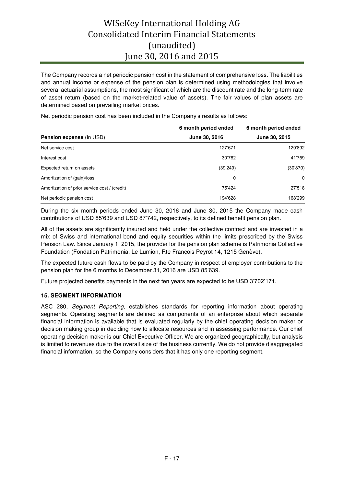The Company records a net periodic pension cost in the statement of comprehensive loss. The liabilities and annual income or expense of the pension plan is determined using methodologies that involve several actuarial assumptions, the most significant of which are the discount rate and the long-term rate of asset return (based on the market-related value of assets). The fair values of plan assets are determined based on prevailing market prices.

Net periodic pension cost has been included in the Company's results as follows:

|                                               | 6 month period ended | 6 month period ended |
|-----------------------------------------------|----------------------|----------------------|
| <b>Pension expense (In USD)</b>               | June 30, 2016        | June 30, 2015        |
| Net service cost                              | 127'671              | 129'892              |
| Interest cost                                 | 30'782               | 41'759               |
| Expected return on assets                     | (39'249)             | (30'870)             |
| Amortization of (gain)/loss                   | 0                    | $\Omega$             |
| Amortization of prior service cost / (credit) | 75'424               | 27'518               |
| Net periodic pension cost                     | 194'628              | 168'299              |

During the six month periods ended June 30, 2016 and June 30, 2015 the Company made cash contributions of USD 85'639 and USD 87'742, respectively, to its defined benefit pension plan.

All of the assets are significantly insured and held under the collective contract and are invested in a mix of Swiss and international bond and equity securities within the limits prescribed by the Swiss Pension Law. Since January 1, 2015, the provider for the pension plan scheme is Patrimonia Collective Foundation (Fondation Patrimonia, Le Lumion, Rte François Peyrot 14, 1215 Genève).

The expected future cash flows to be paid by the Company in respect of employer contributions to the pension plan for the 6 months to December 31, 2016 are USD 85'639.

Future projected benefits payments in the next ten years are expected to be USD 3'702'171.

## **15. SEGMENT INFORMATION**

ASC 280, *Segment Reporting,* establishes standards for reporting information about operating segments. Operating segments are defined as components of an enterprise about which separate financial information is available that is evaluated regularly by the chief operating decision maker or decision making group in deciding how to allocate resources and in assessing performance. Our chief operating decision maker is our Chief Executive Officer. We are organized geographically, but analysis is limited to revenues due to the overall size of the business currently. We do not provide disaggregated financial information, so the Company considers that it has only one reporting segment.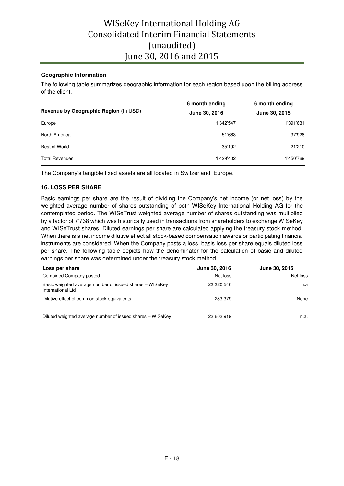## **Geographic Information**

The following table summarizes geographic information for each region based upon the billing address of the client.

|                                       | 6 month ending | 6 month ending |
|---------------------------------------|----------------|----------------|
| Revenue by Geographic Region (In USD) | June 30, 2016  | June 30, 2015  |
| Europe                                | 1'342'547      | 1'391'631      |
| North America                         | 51'663         | 37'928         |
| <b>Rest of World</b>                  | 35'192         | 21'210         |
| <b>Total Revenues</b>                 | 1'429'402      | 1'450'769      |

The Company's tangible fixed assets are all located in Switzerland, Europe.

### **16. LOSS PER SHARE**

Basic earnings per share are the result of dividing the Company's net income (or net loss) by the weighted average number of shares outstanding of both WISeKey International Holding AG for the contemplated period. The WISeTrust weighted average number of shares outstanding was multiplied by a factor of 7'738 which was historically used in transactions from shareholders to exchange WISeKey and WISeTrust shares. Diluted earnings per share are calculated applying the treasury stock method. When there is a net income dilutive effect all stock-based compensation awards or participating financial instruments are considered. When the Company posts a loss, basis loss per share equals diluted loss per share. The following table depicts how the denominator for the calculation of basic and diluted earnings per share was determined under the treasury stock method.

| Loss per share                                                                | June 30, 2016 | June 30, 2015 |
|-------------------------------------------------------------------------------|---------------|---------------|
| Combined Company posted                                                       | Net loss      | Net loss      |
| Basic weighted average number of issued shares - WISeKey<br>International Ltd | 23,320,540    | n.a           |
| Dilutive effect of common stock equivalents                                   | 283.379       | None          |
| Diluted weighted average number of issued shares - WISeKey                    | 23,603,919    | n.a.          |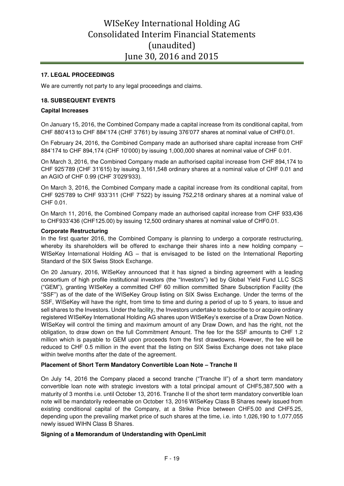### **17. LEGAL PROCEEDINGS**

We are currently not party to any legal proceedings and claims.

### **18. SUBSEQUENT EVENTS**

#### **Capital Increases**

On January 15, 2016, the Combined Company made a capital increase from its conditional capital, from CHF 880'413 to CHF 884'174 (CHF 3'761) by issuing 376'077 shares at nominal value of CHF0.01.

On February 24, 2016, the Combined Company made an authorised share capital increase from CHF 884'174 to CHF 894,174 (CHF 10'000) by issuing 1,000,000 shares at nominal value of CHF 0.01.

On March 3, 2016, the Combined Company made an authorised capital increase from CHF 894,174 to CHF 925'789 (CHF 31'615) by issuing 3,161,548 ordinary shares at a nominal value of CHF 0.01 and an AGIO of CHF 0.99 (CHF 3'029'933).

On March 3, 2016, the Combined Company made a capital increase from its conditional capital, from CHF 925'789 to CHF 933'311 (CHF 7'522) by issuing 752,218 ordinary shares at a nominal value of CHF 0.01.

On March 11, 2016, the Combined Company made an authorised capital increase from CHF 933,436 to CHF933'436 (CHF125.00) by issuing 12,500 ordinary shares at nominal value of CHF0.01.

#### **Corporate Restructuring**

In the first quarter 2016, the Combined Company is planning to undergo a corporate restructuring, whereby its shareholders will be offered to exchange their shares into a new holding company WISeKey International Holding AG – that is envisaged to be listed on the International Reporting Standard of the SIX Swiss Stock Exchange.

On 20 January, 2016, WISeKey announced that it has signed a binding agreement with a leading consortium of high profile institutional investors (the "Investors") led by Global Yield Fund LLC SCS ("GEM"), granting WISeKey a committed CHF 60 million committed Share Subscription Facility (the "SSF") as of the date of the WISeKey Group listing on SIX Swiss Exchange. Under the terms of the SSF, WISeKey will have the right, from time to time and during a period of up to 5 years, to issue and sell shares to the Investors. Under the facility, the Investors undertake to subscribe to or acquire ordinary registered WISeKey International Holding AG shares upon WISeKey's exercise of a Draw Down Notice. WISeKey will control the timing and maximum amount of any Draw Down, and has the right, not the obligation, to draw down on the full Commitment Amount. The fee for the SSF amounts to CHF 1.2 million which is payable to GEM upon proceeds from the first drawdowns. However, the fee will be reduced to CHF 0.5 million in the event that the listing on SIX Swiss Exchange does not take place within twelve months after the date of the agreement.

### **Placement of Short Term Mandatory Convertible Loan Note – Tranche II**

On July 14, 2016 the Company placed a second tranche ("Tranche II") of a short term mandatory convertible loan note with strategic investors with a total principal amount of CHF5,387,500 with a maturity of 3 months i.e. until October 13, 2016. Tranche II of the short term mandatory convertible loan note will be mandatorily redeemable on October 13, 2016 WISeKey Class B Shares newly issued from existing conditional capital of the Company, at a Strike Price between CHF5.00 and CHF5.25, depending upon the prevailing market price of such shares at the time, i.e. into 1,026,190 to 1,077,055 newly issued WIHN Class B Shares.

### **Signing of a Memorandum of Understanding with OpenLimit**